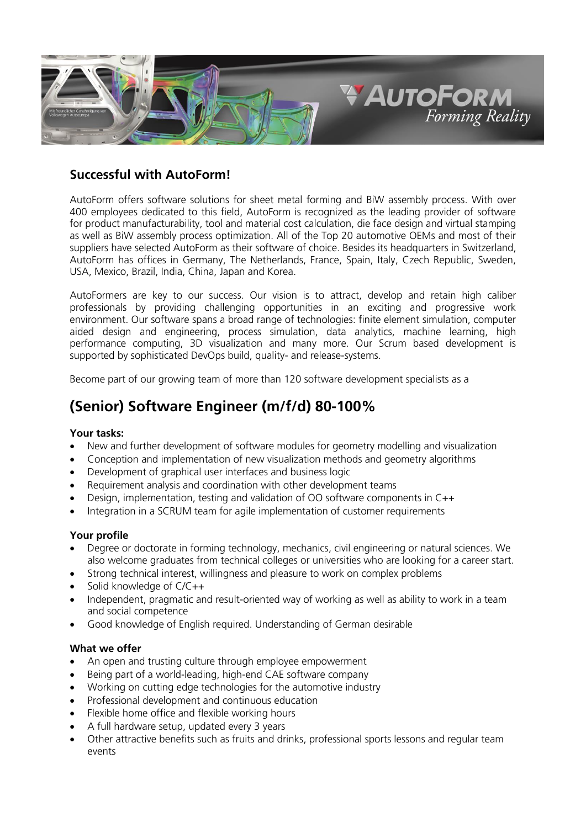

# **Successful with AutoForm!**

AutoForm offers software solutions for sheet metal forming and BiW assembly process. With over 400 employees dedicated to this field, AutoForm is recognized as the leading provider of software for product manufacturability, tool and material cost calculation, die face design and virtual stamping as well as BiW assembly process optimization. All of the Top 20 automotive OEMs and most of their suppliers have selected AutoForm as their software of choice. Besides its headquarters in Switzerland, AutoForm has offices in Germany, The Netherlands, France, Spain, Italy, Czech Republic, Sweden, USA, Mexico, Brazil, India, China, Japan and Korea.

AutoFormers are key to our success. Our vision is to attract, develop and retain high caliber professionals by providing challenging opportunities in an exciting and progressive work environment. Our software spans a broad range of technologies: finite element simulation, computer aided design and engineering, process simulation, data analytics, machine learning, high performance computing, 3D visualization and many more. Our Scrum based development is supported by sophisticated DevOps build, quality- and release-systems.

Become part of our growing team of more than 120 software development specialists as a

# **(Senior) Software Engineer (m/f/d) 80-100%**

## **Your tasks:**

- New and further development of software modules for geometry modelling and visualization
- Conception and implementation of new visualization methods and geometry algorithms
- Development of graphical user interfaces and business logic
- Requirement analysis and coordination with other development teams
- Design, implementation, testing and validation of OO software components in C++
- Integration in a SCRUM team for agile implementation of customer requirements

#### **Your profile**

- Degree or doctorate in forming technology, mechanics, civil engineering or natural sciences. We also welcome graduates from technical colleges or universities who are looking for a career start.
- Strong technical interest, willingness and pleasure to work on complex problems
- Solid knowledge of C/C++
- Independent, pragmatic and result-oriented way of working as well as ability to work in a team and social competence
- Good knowledge of English required. Understanding of German desirable

## **What we offer**

- An open and trusting culture through employee empowerment
- Being part of a world-leading, high-end CAE software company
- Working on cutting edge technologies for the automotive industry
- Professional development and continuous education
- Flexible home office and flexible working hours
- A full hardware setup, updated every 3 years
- Other attractive benefits such as fruits and drinks, professional sports lessons and regular team events